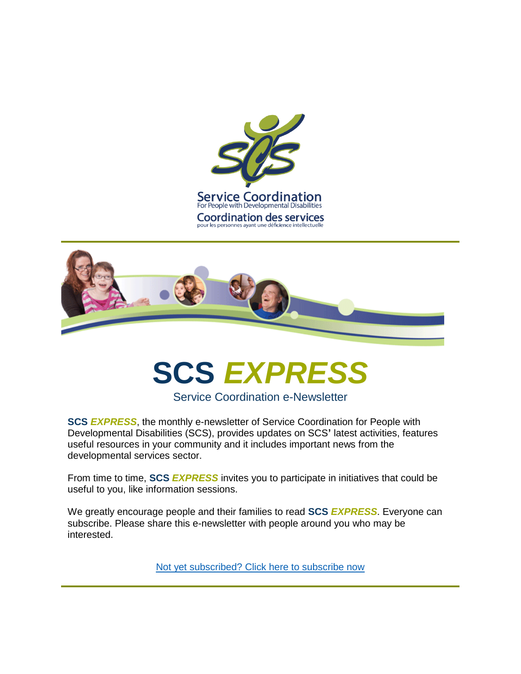



# **SCS** *EXPRESS*

Service Coordination e-Newsletter

**SCS** *EXPRESS*, the monthly e-newsletter of Service Coordination for People with Developmental Disabilities (SCS), provides updates on SCS**'** latest activities, features useful resources in your community and it includes important news from the developmental services sector.

From time to time, **SCS** *EXPRESS* invites you to participate in initiatives that could be useful to you, like information sessions.

We greatly encourage people and their families to read **SCS** *EXPRESS*. Everyone can subscribe. Please share this e-newsletter with people around you who may be interested.

[Not yet subscribed? Click here to subscribe now](http://astaltari.emlnk1.com/lt.php?notrack=1¬rack=1&s=bad97c655476f96a390a72c05a742011&i=65A121A26A4091)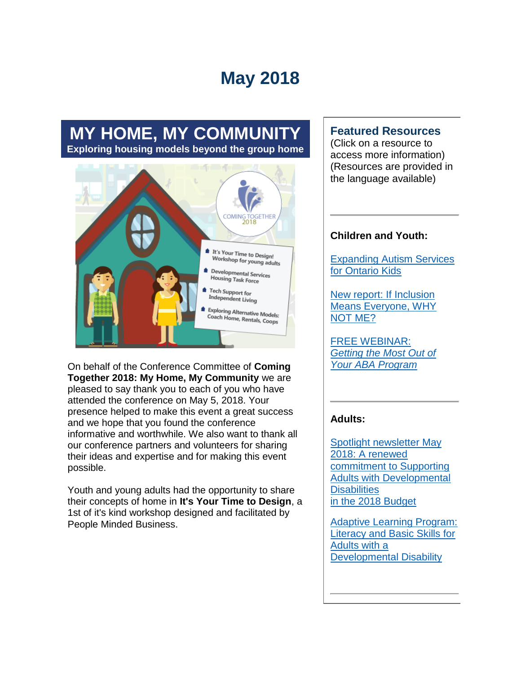## **May 2018**

### **MY HOME, MY COMMUNITY Exploring housing models beyond the group home**



On behalf of the Conference Committee of **Coming Together 2018: My Home, My Community** we are pleased to say thank you to each of you who have attended the conference on May 5, 2018. Your presence helped to make this event a great success and we hope that you found the conference informative and worthwhile. We also want to thank all our conference partners and volunteers for sharing their ideas and expertise and for making this event possible.

Youth and young adults had the opportunity to share their concepts of home in **It's Your Time to Design**, a 1st of it's kind workshop designed and facilitated by People Minded Business.

#### **Featured Resources**

(Click on a resource to access more information) (Resources are provided in the language available)

#### **Children and Youth:**

[Expanding Autism Services](http://astaltari.emlnk1.com/lt.php?notrack=1&s=05827b641bb11c2cffab2fb2697d2151&i=175A286A35A6707)  [for Ontario Kids](http://astaltari.emlnk1.com/lt.php?notrack=1&s=05827b641bb11c2cffab2fb2697d2151&i=175A286A35A6707) 

[New report: If Inclusion](http://astaltari.emlnk1.com/lt.php?notrack=1&s=05827b641bb11c2cffab2fb2697d2151&i=175A286A35A6702)  [Means Everyone, WHY](http://astaltari.emlnk1.com/lt.php?notrack=1&s=05827b641bb11c2cffab2fb2697d2151&i=175A286A35A6702)  [NOT ME?](http://astaltari.emlnk1.com/lt.php?notrack=1&s=05827b641bb11c2cffab2fb2697d2151&i=175A286A35A6702) 

[FREE WEBINAR:](http://astaltari.emlnk1.com/lt.php?notrack=1&s=05827b641bb11c2cffab2fb2697d2151&i=175A286A35A6708)  *[Getting the Most Out of](http://astaltari.emlnk1.com/lt.php?notrack=1&s=05827b641bb11c2cffab2fb2697d2151&i=175A286A35A6708)  [Your ABA Program](http://astaltari.emlnk1.com/lt.php?notrack=1&s=05827b641bb11c2cffab2fb2697d2151&i=175A286A35A6708)*

#### **Adults:**

[Spotlight newsletter May](http://astaltari.emlnk1.com/lt.php?notrack=1&s=05827b641bb11c2cffab2fb2697d2151&i=175A286A35A6703)  [2018: A renewed](http://astaltari.emlnk1.com/lt.php?notrack=1&s=05827b641bb11c2cffab2fb2697d2151&i=175A286A35A6703)  [commitment to Supporting](http://astaltari.emlnk1.com/lt.php?notrack=1&s=05827b641bb11c2cffab2fb2697d2151&i=175A286A35A6703)  [Adults with Developmental](http://astaltari.emlnk1.com/lt.php?notrack=1&s=05827b641bb11c2cffab2fb2697d2151&i=175A286A35A6703)  **Disabilities** [in the 2018 Budget](http://astaltari.emlnk1.com/lt.php?notrack=1&s=05827b641bb11c2cffab2fb2697d2151&i=175A286A35A6703) 

[Adaptive Learning Program:](http://astaltari.emlnk1.com/lt.php?notrack=1&s=05827b641bb11c2cffab2fb2697d2151&i=175A286A35A6709)  [Literacy and Basic Skills for](http://astaltari.emlnk1.com/lt.php?notrack=1&s=05827b641bb11c2cffab2fb2697d2151&i=175A286A35A6709)  [Adults with a](http://astaltari.emlnk1.com/lt.php?notrack=1&s=05827b641bb11c2cffab2fb2697d2151&i=175A286A35A6709)  [Developmental Disability](http://astaltari.emlnk1.com/lt.php?notrack=1&s=05827b641bb11c2cffab2fb2697d2151&i=175A286A35A6709)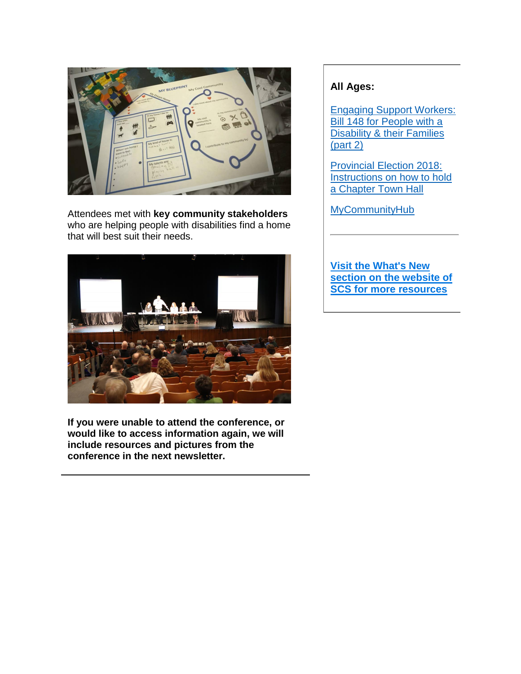

Attendees met with **key community stakeholders** who are helping people with disabilities find a home that will best suit their needs.



**If you were unable to attend the conference, or would like to access information again, we will include resources and pictures from the conference in the next newsletter.** 

#### **All Ages:**

[Engaging Support Workers:](http://astaltari.emlnk1.com/lt.php?notrack=1&s=05827b641bb11c2cffab2fb2697d2151&i=175A286A35A6704)  [Bill 148 for People with a](http://astaltari.emlnk1.com/lt.php?notrack=1&s=05827b641bb11c2cffab2fb2697d2151&i=175A286A35A6704)  [Disability & their Families](http://astaltari.emlnk1.com/lt.php?notrack=1&s=05827b641bb11c2cffab2fb2697d2151&i=175A286A35A6704)  [\(part 2\)](http://astaltari.emlnk1.com/lt.php?notrack=1&s=05827b641bb11c2cffab2fb2697d2151&i=175A286A35A6704)

[Provincial Election 2018:](http://astaltari.emlnk1.com/lt.php?notrack=1&s=05827b641bb11c2cffab2fb2697d2151&i=175A286A35A6710)  [Instructions on how to hold](http://astaltari.emlnk1.com/lt.php?notrack=1&s=05827b641bb11c2cffab2fb2697d2151&i=175A286A35A6710)  [a Chapter Town Hall](http://astaltari.emlnk1.com/lt.php?notrack=1&s=05827b641bb11c2cffab2fb2697d2151&i=175A286A35A6710)

[MyCommunityHub](http://astaltari.emlnk1.com/lt.php?notrack=1&s=05827b641bb11c2cffab2fb2697d2151&i=175A286A35A6711) 

**[Visit the What's New](http://astaltari.emlnk1.com/lt.php?notrack=1&s=05827b641bb11c2cffab2fb2697d2151&i=175A286A35A6674)  [section on the website of](http://astaltari.emlnk1.com/lt.php?notrack=1&s=05827b641bb11c2cffab2fb2697d2151&i=175A286A35A6674)  [SCS for more resources](http://astaltari.emlnk1.com/lt.php?notrack=1&s=05827b641bb11c2cffab2fb2697d2151&i=175A286A35A6674)**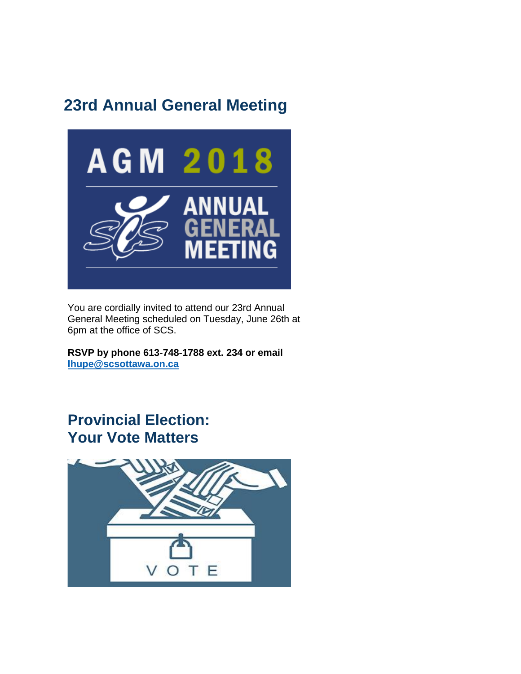### **23rd Annual General Meeting**



You are cordially invited to attend our 23rd Annual General Meeting scheduled on Tuesday, June 26th at 6pm at the office of SCS.

**RSVP by phone 613-748-1788 ext. 234 or email [lhupe@scsottawa.on.ca](mailto:lhupe@scsottawa.on.ca)**

### **Provincial Election: Your Vote Matters**

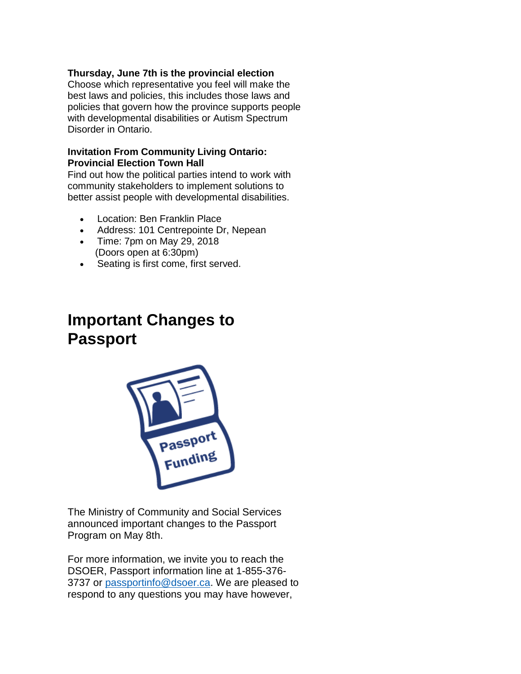#### **Thursday, June 7th is the provincial election**

Choose which representative you feel will make the best laws and policies, this includes those laws and policies that govern how the province supports people with developmental disabilities or Autism Spectrum Disorder in Ontario.

#### **Invitation From Community Living Ontario: Provincial Election Town Hall**

Find out how the political parties intend to work with community stakeholders to implement solutions to better assist people with developmental disabilities.

- Location: Ben Franklin Place
- Address: 101 Centrepointe Dr, Nepean
- Time: 7pm on May 29, 2018 (Doors open at 6:30pm)
- Seating is first come, first served.

### **Important Changes to Passport**



The Ministry of Community and Social Services announced important changes to the Passport Program on May 8th.

For more information, we invite you to reach the DSOER, Passport information line at 1-855-376- 3737 or [passportinfo@dsoer.ca.](mailto:passportinfo@dsoer.ca) We are pleased to respond to any questions you may have however,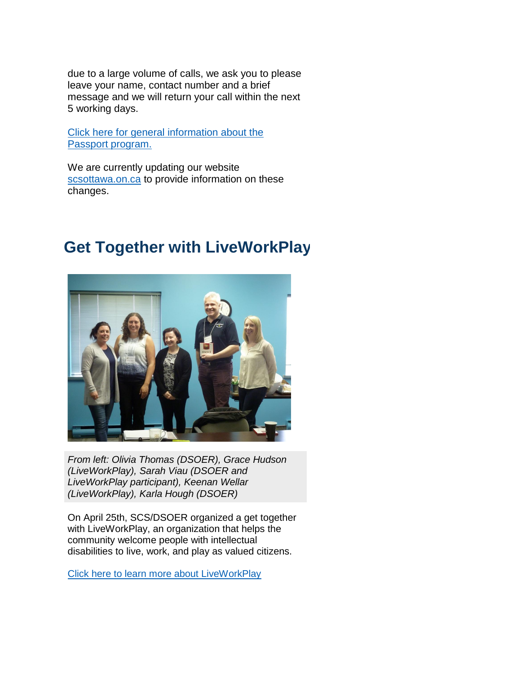due to a large volume of calls, we ask you to please leave your name, contact number and a brief message and we will return your call within the next 5 working days.

[Click here for general information about the](http://astaltari.emlnk1.com/lt.php?notrack=1&s=05827b641bb11c2cffab2fb2697d2151&i=175A286A35A6712)  [Passport program.](http://astaltari.emlnk1.com/lt.php?notrack=1&s=05827b641bb11c2cffab2fb2697d2151&i=175A286A35A6712)

We are currently updating our website [scsottawa.on.ca](http://astaltari.emlnk1.com/lt.php?notrack=1&s=05827b641bb11c2cffab2fb2697d2151&i=175A286A35A6705) to provide information on these changes.

**Get Together with LiveWorkPlay**

*From left: Olivia Thomas (DSOER), Grace Hudson (LiveWorkPlay), Sarah Viau (DSOER and LiveWorkPlay participant), Keenan Wellar (LiveWorkPlay), Karla Hough (DSOER)*

On April 25th, SCS/DSOER organized a get together with LiveWorkPlay, an organization that helps the community welcome people with intellectual [disabilities to live, work, and play as valued citizens.](http://astaltari.emlnk1.com/lt.php?notrack=1&s=05827b641bb11c2cffab2fb2697d2151&i=175A286A35A6706) 

[Click here to learn more about LiveWorkPlay](http://astaltari.emlnk1.com/lt.php?notrack=1&s=05827b641bb11c2cffab2fb2697d2151&i=175A286A35A6706)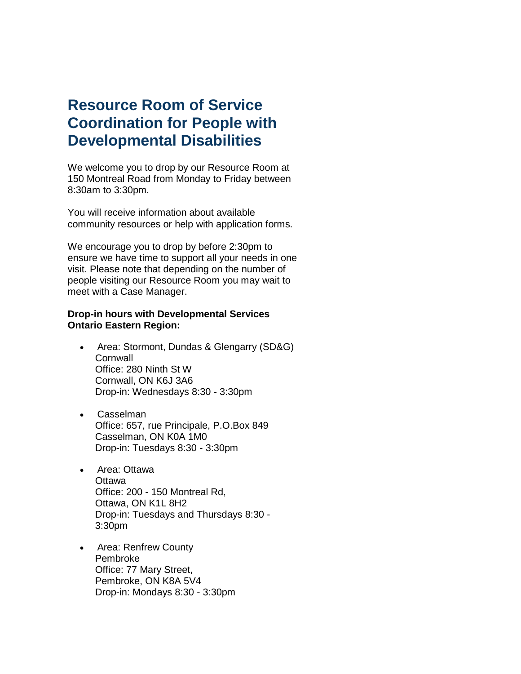### **Resource Room of Service Coordination for People with Developmental Disabilities**

We welcome you to drop by our Resource Room at 150 Montreal Road from Monday to Friday between 8:30am to 3:30pm.

You will receive information about available community resources or help with application forms.

We encourage you to drop by before 2:30pm to ensure we have time to support all your needs in one visit. Please note that depending on the number of people visiting our Resource Room you may wait to meet with a Case Manager.

#### **Drop-in hours with Developmental Services Ontario Eastern Region:**

- Area: Stormont, Dundas & Glengarry (SD&G) **Cornwall** Office: 280 Ninth St W Cornwall, ON K6J 3A6 Drop-in: Wednesdays 8:30 - 3:30pm
- Casselman Office: 657, rue Principale, P.O.Box 849 Casselman, ON K0A 1M0 Drop-in: Tuesdays 8:30 - 3:30pm
- Area: Ottawa **Ottawa** Office: 200 - 150 Montreal Rd, Ottawa, ON K1L 8H2 Drop-in: Tuesdays and Thursdays 8:30 - 3:30pm
- Area: Renfrew County Pembroke Office: 77 Mary Street, Pembroke, ON K8A 5V4 Drop-in: Mondays 8:30 - 3:30pm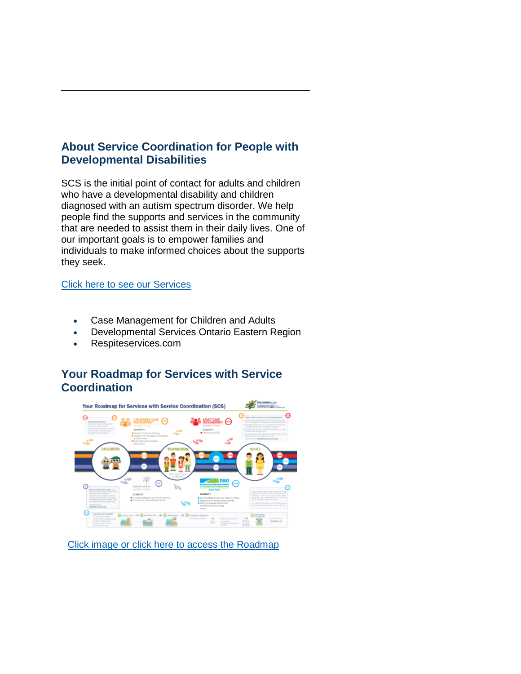#### **About Service Coordination for People with Developmental Disabilities**

SCS is the initial point of contact for adults and children who have a developmental disability and children diagnosed with an autism spectrum disorder. We help people find the supports and services in the community that are needed to assist them in their daily lives. One of our important goals is to empower families and individuals to make informed choices about the supports [they seek.](http://astaltari.emlnk1.com/lt.php?notrack=1¬rack=1&s=bad97c655476f96a390a72c05a742011&i=65A121A26A4101)

#### [Click here to see our Services](http://astaltari.emlnk1.com/lt.php?notrack=1¬rack=1&s=bad97c655476f96a390a72c05a742011&i=65A121A26A4101)

- Case Management for Children and Adults
- Developmental Services Ontario Eastern Region
- Respiteservices.com

#### **Your Roadmap for Services with Service Coordination**



[Click image or click here to access the Roadmap](http://astaltari.emlnk1.com/lt.php?notrack=1&s=05827b641bb11c2cffab2fb2697d2151&i=175A286A35A6664)